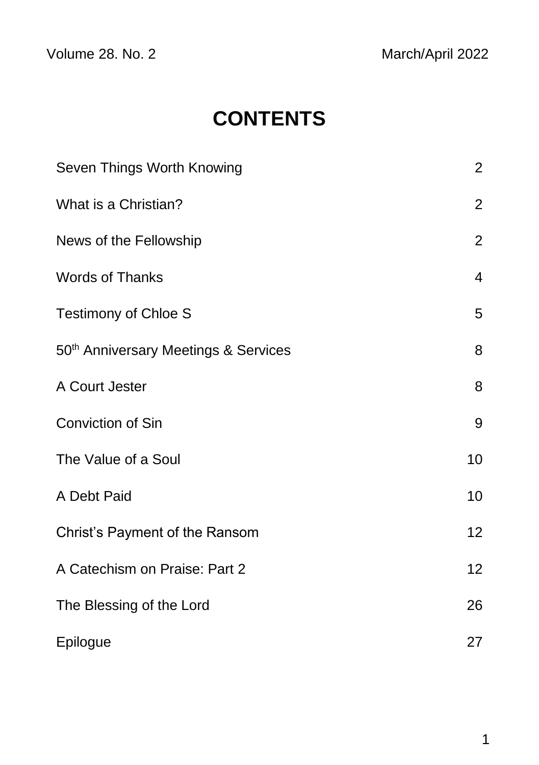Volume 28. No. 2 March/April 2022

# **CONTENTS**

| Seven Things Worth Knowing                       | $\overline{2}$ |
|--------------------------------------------------|----------------|
| What is a Christian?                             | $\overline{2}$ |
| News of the Fellowship                           | $\overline{2}$ |
| <b>Words of Thanks</b>                           | $\overline{4}$ |
| <b>Testimony of Chloe S</b>                      | 5              |
| 50 <sup>th</sup> Anniversary Meetings & Services | 8              |
| A Court Jester                                   | 8              |
| Conviction of Sin                                | 9              |
| The Value of a Soul                              | 10             |
| A Debt Paid                                      | 10             |
| Christ's Payment of the Ransom                   | 12             |
| A Catechism on Praise: Part 2                    | 12             |
| The Blessing of the Lord                         | 26             |
| Epilogue                                         | 27             |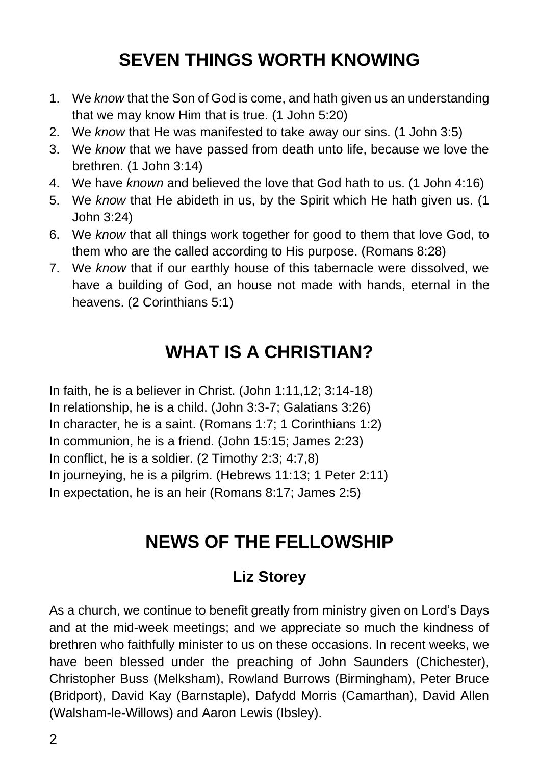## **SEVEN THINGS WORTH KNOWING**

- 1. We *know* that the Son of God is come, and hath given us an understanding that we may know Him that is true. (1 John 5:20)
- 2. We *know* that He was manifested to take away our sins. (1 John 3:5)
- 3. We *know* that we have passed from death unto life, because we love the brethren. (1 John 3:14)
- 4. We have *known* and believed the love that God hath to us. (1 John 4:16)
- 5. We *know* that He abideth in us, by the Spirit which He hath given us. (1 John 3:24)
- 6. We *know* that all things work together for good to them that love God, to them who are the called according to His purpose. (Romans 8:28)
- 7. We *know* that if our earthly house of this tabernacle were dissolved, we have a building of God, an house not made with hands, eternal in the heavens. (2 Corinthians 5:1)

### **WHAT IS A CHRISTIAN?**

In faith, he is a believer in Christ. (John 1:11,12; 3:14-18) In relationship, he is a child. (John 3:3-7; Galatians 3:26) In character, he is a saint. (Romans 1:7; 1 Corinthians 1:2) In communion, he is a friend. (John 15:15; James 2:23) In conflict, he is a soldier. (2 Timothy 2:3; 4:7,8) In journeying, he is a pilgrim. (Hebrews 11:13; 1 Peter 2:11) In expectation, he is an heir (Romans 8:17; James 2:5)

#### **NEWS OF THE FELLOWSHIP**

#### **Liz Storey**

As a church, we continue to benefit greatly from ministry given on Lord's Days and at the mid-week meetings; and we appreciate so much the kindness of brethren who faithfully minister to us on these occasions. In recent weeks, we have been blessed under the preaching of John Saunders (Chichester), Christopher Buss (Melksham), Rowland Burrows (Birmingham), Peter Bruce (Bridport), David Kay (Barnstaple), Dafydd Morris (Camarthan), David Allen (Walsham-le-Willows) and Aaron Lewis (Ibsley).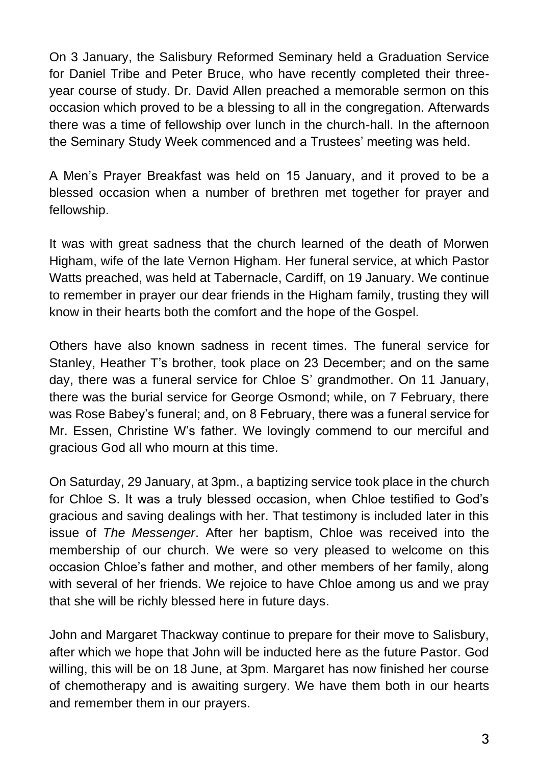On 3 January, the Salisbury Reformed Seminary held a Graduation Service for Daniel Tribe and Peter Bruce, who have recently completed their threeyear course of study. Dr. David Allen preached a memorable sermon on this occasion which proved to be a blessing to all in the congregation. Afterwards there was a time of fellowship over lunch in the church-hall. In the afternoon the Seminary Study Week commenced and a Trustees' meeting was held.

A Men's Prayer Breakfast was held on 15 January, and it proved to be a blessed occasion when a number of brethren met together for prayer and fellowship.

It was with great sadness that the church learned of the death of Morwen Higham, wife of the late Vernon Higham. Her funeral service, at which Pastor Watts preached, was held at Tabernacle, Cardiff, on 19 January. We continue to remember in prayer our dear friends in the Higham family, trusting they will know in their hearts both the comfort and the hope of the Gospel.

Others have also known sadness in recent times. The funeral service for Stanley, Heather T's brother, took place on 23 December; and on the same day, there was a funeral service for Chloe S' grandmother. On 11 January, there was the burial service for George Osmond; while, on 7 February, there was Rose Babey's funeral; and, on 8 February, there was a funeral service for Mr. Essen, Christine W's father. We lovingly commend to our merciful and gracious God all who mourn at this time.

On Saturday, 29 January, at 3pm., a baptizing service took place in the church for Chloe S. It was a truly blessed occasion, when Chloe testified to God's gracious and saving dealings with her. That testimony is included later in this issue of *The Messenger*. After her baptism, Chloe was received into the membership of our church. We were so very pleased to welcome on this occasion Chloe's father and mother, and other members of her family, along with several of her friends. We rejoice to have Chloe among us and we pray that she will be richly blessed here in future days.

John and Margaret Thackway continue to prepare for their move to Salisbury, after which we hope that John will be inducted here as the future Pastor. God willing, this will be on 18 June, at 3pm. Margaret has now finished her course of chemotherapy and is awaiting surgery. We have them both in our hearts and remember them in our prayers.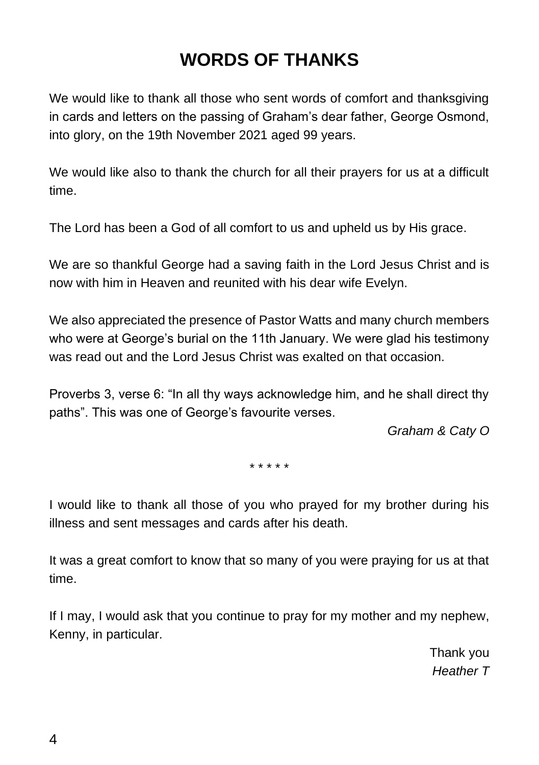### **WORDS OF THANKS**

We would like to thank all those who sent words of comfort and thanksgiving in cards and letters on the passing of Graham's dear father, George Osmond, into glory, on the 19th November 2021 aged 99 years.

We would like also to thank the church for all their prayers for us at a difficult time.

The Lord has been a God of all comfort to us and upheld us by His grace.

We are so thankful George had a saving faith in the Lord Jesus Christ and is now with him in Heaven and reunited with his dear wife Evelyn.

We also appreciated the presence of Pastor Watts and many church members who were at George's burial on the 11th January. We were glad his testimony was read out and the Lord Jesus Christ was exalted on that occasion

Proverbs 3, verse 6: "In all thy ways acknowledge him, and he shall direct thy paths". This was one of George's favourite verses.

*Graham & Caty O*

\* \* \* \* \*

I would like to thank all those of you who prayed for my brother during his illness and sent messages and cards after his death.

It was a great comfort to know that so many of you were praying for us at that time.

If I may, I would ask that you continue to pray for my mother and my nephew, Kenny, in particular.

> Thank you *Heather T*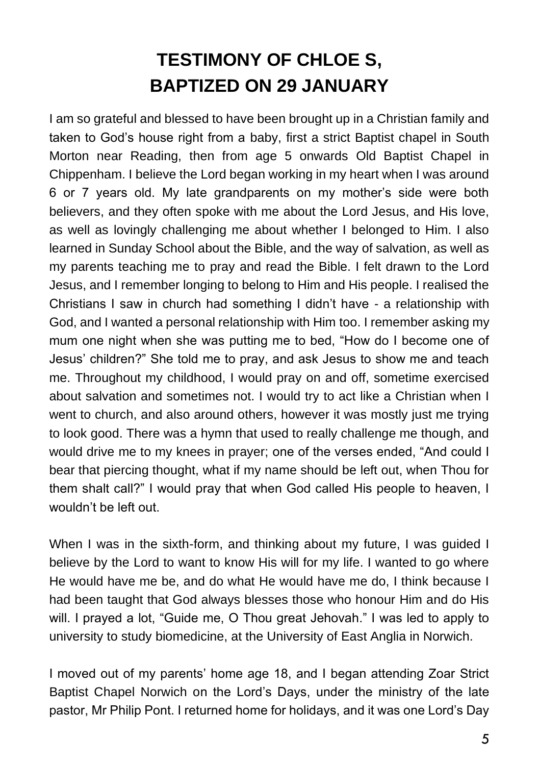# **TESTIMONY OF CHLOE S, BAPTIZED ON 29 JANUARY**

I am so grateful and blessed to have been brought up in a Christian family and taken to God's house right from a baby, first a strict Baptist chapel in South Morton near Reading, then from age 5 onwards Old Baptist Chapel in Chippenham. I believe the Lord began working in my heart when I was around 6 or 7 years old. My late grandparents on my mother's side were both believers, and they often spoke with me about the Lord Jesus, and His love, as well as lovingly challenging me about whether I belonged to Him. I also learned in Sunday School about the Bible, and the way of salvation, as well as my parents teaching me to pray and read the Bible. I felt drawn to the Lord Jesus, and I remember longing to belong to Him and His people. I realised the Christians I saw in church had something I didn't have - a relationship with God, and I wanted a personal relationship with Him too. I remember asking my mum one night when she was putting me to bed, "How do I become one of Jesus' children?" She told me to pray, and ask Jesus to show me and teach me. Throughout my childhood, I would pray on and off, sometime exercised about salvation and sometimes not. I would try to act like a Christian when I went to church, and also around others, however it was mostly just me trying to look good. There was a hymn that used to really challenge me though, and would drive me to my knees in prayer; one of the verses ended, "And could I bear that piercing thought, what if my name should be left out, when Thou for them shalt call?" I would pray that when God called His people to heaven, I wouldn't be left out.

When I was in the sixth-form, and thinking about my future, I was guided I believe by the Lord to want to know His will for my life. I wanted to go where He would have me be, and do what He would have me do, I think because I had been taught that God always blesses those who honour Him and do His will. I prayed a lot, "Guide me, O Thou great Jehovah." I was led to apply to university to study biomedicine, at the University of East Anglia in Norwich.

I moved out of my parents' home age 18, and I began attending Zoar Strict Baptist Chapel Norwich on the Lord's Days, under the ministry of the late pastor, Mr Philip Pont. I returned home for holidays, and it was one Lord's Day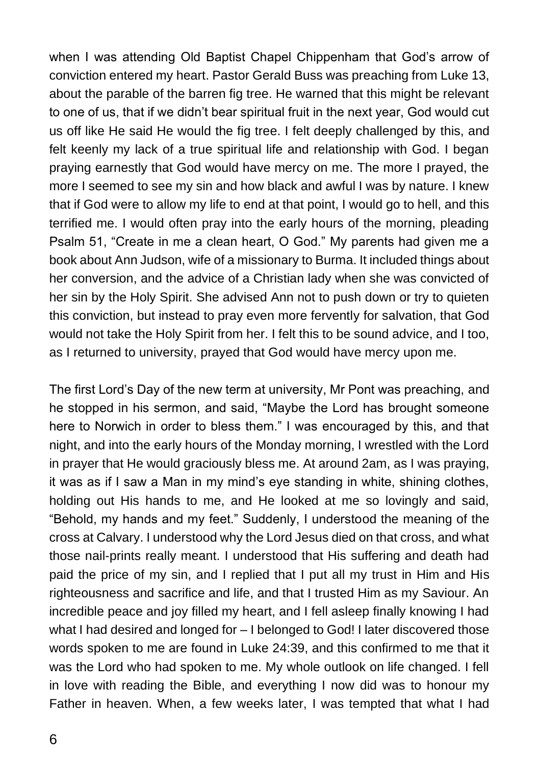when I was attending Old Baptist Chapel Chippenham that God's arrow of conviction entered my heart. Pastor Gerald Buss was preaching from Luke 13, about the parable of the barren fig tree. He warned that this might be relevant to one of us, that if we didn't bear spiritual fruit in the next year, God would cut us off like He said He would the fig tree. I felt deeply challenged by this, and felt keenly my lack of a true spiritual life and relationship with God. I began praying earnestly that God would have mercy on me. The more I prayed, the more I seemed to see my sin and how black and awful I was by nature. I knew that if God were to allow my life to end at that point, I would go to hell, and this terrified me. I would often pray into the early hours of the morning, pleading Psalm 51, "Create in me a clean heart, O God." My parents had given me a book about Ann Judson, wife of a missionary to Burma. It included things about her conversion, and the advice of a Christian lady when she was convicted of her sin by the Holy Spirit. She advised Ann not to push down or try to quieten this conviction, but instead to pray even more fervently for salvation, that God would not take the Holy Spirit from her. I felt this to be sound advice, and I too, as I returned to university, prayed that God would have mercy upon me.

The first Lord's Day of the new term at university, Mr Pont was preaching, and he stopped in his sermon, and said, "Maybe the Lord has brought someone here to Norwich in order to bless them." I was encouraged by this, and that night, and into the early hours of the Monday morning, I wrestled with the Lord in prayer that He would graciously bless me. At around 2am, as I was praying, it was as if I saw a Man in my mind's eye standing in white, shining clothes, holding out His hands to me, and He looked at me so lovingly and said, "Behold, my hands and my feet." Suddenly, I understood the meaning of the cross at Calvary. I understood why the Lord Jesus died on that cross, and what those nail-prints really meant. I understood that His suffering and death had paid the price of my sin, and I replied that I put all my trust in Him and His righteousness and sacrifice and life, and that I trusted Him as my Saviour. An incredible peace and joy filled my heart, and I fell asleep finally knowing I had what I had desired and longed for – I belonged to God! I later discovered those words spoken to me are found in Luke 24:39, and this confirmed to me that it was the Lord who had spoken to me. My whole outlook on life changed. I fell in love with reading the Bible, and everything I now did was to honour my Father in heaven. When, a few weeks later, I was tempted that what I had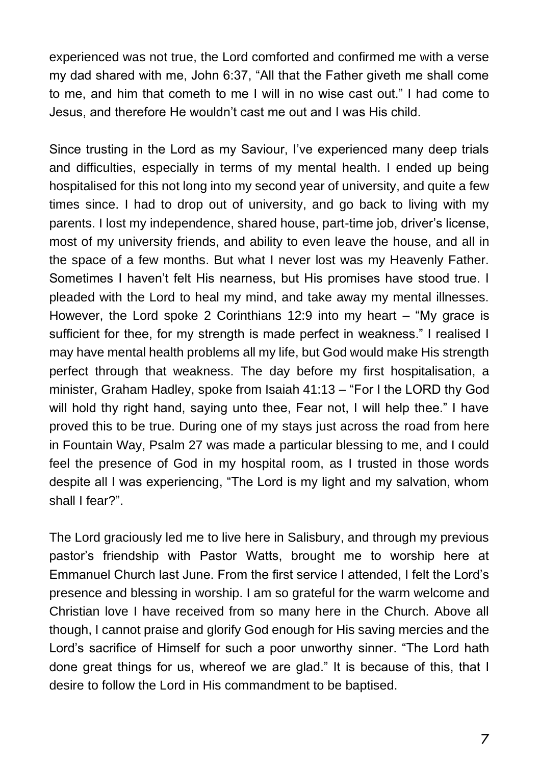experienced was not true, the Lord comforted and confirmed me with a verse my dad shared with me, John 6:37, "All that the Father giveth me shall come to me, and him that cometh to me I will in no wise cast out." I had come to Jesus, and therefore He wouldn't cast me out and I was His child.

Since trusting in the Lord as my Saviour, I've experienced many deep trials and difficulties, especially in terms of my mental health. I ended up being hospitalised for this not long into my second year of university, and quite a few times since. I had to drop out of university, and go back to living with my parents. I lost my independence, shared house, part-time job, driver's license, most of my university friends, and ability to even leave the house, and all in the space of a few months. But what I never lost was my Heavenly Father. Sometimes I haven't felt His nearness, but His promises have stood true. I pleaded with the Lord to heal my mind, and take away my mental illnesses. However, the Lord spoke 2 Corinthians 12:9 into my heart – "My grace is sufficient for thee, for my strength is made perfect in weakness." I realised I may have mental health problems all my life, but God would make His strength perfect through that weakness. The day before my first hospitalisation, a minister, Graham Hadley, spoke from Isaiah 41:13 – "For I the LORD thy God will hold thy right hand, saying unto thee, Fear not, I will help thee." I have proved this to be true. During one of my stays just across the road from here in Fountain Way, Psalm 27 was made a particular blessing to me, and I could feel the presence of God in my hospital room, as I trusted in those words despite all I was experiencing, "The Lord is my light and my salvation, whom shall I fear?".

The Lord graciously led me to live here in Salisbury, and through my previous pastor's friendship with Pastor Watts, brought me to worship here at Emmanuel Church last June. From the first service I attended, I felt the Lord's presence and blessing in worship. I am so grateful for the warm welcome and Christian love I have received from so many here in the Church. Above all though, I cannot praise and glorify God enough for His saving mercies and the Lord's sacrifice of Himself for such a poor unworthy sinner. "The Lord hath done great things for us, whereof we are glad." It is because of this, that I desire to follow the Lord in His commandment to be baptised.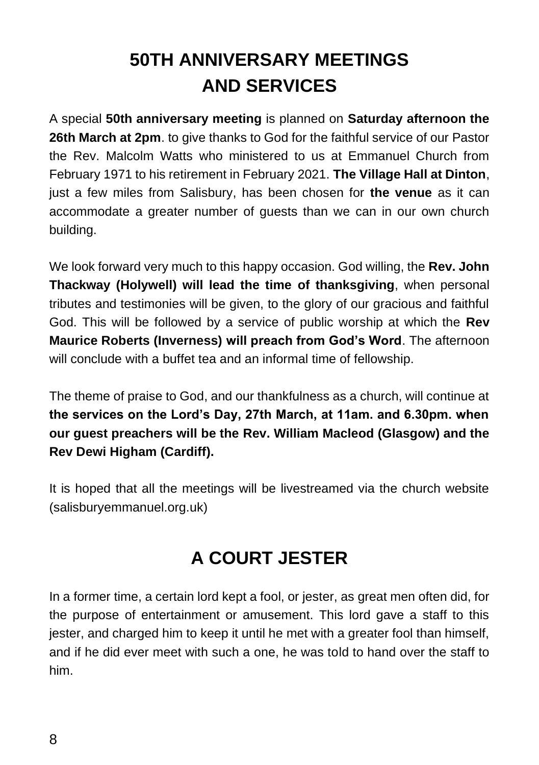# **50TH ANNIVERSARY MEETINGS AND SERVICES**

A special **50th anniversary meeting** is planned on **Saturday afternoon the 26th March at 2pm**. to give thanks to God for the faithful service of our Pastor the Rev. Malcolm Watts who ministered to us at Emmanuel Church from February 1971 to his retirement in February 2021. **The Village Hall at Dinton**, just a few miles from Salisbury, has been chosen for **the venue** as it can accommodate a greater number of guests than we can in our own church building.

We look forward very much to this happy occasion. God willing, the **Rev. John Thackway (Holywell) will lead the time of thanksgiving**, when personal tributes and testimonies will be given, to the glory of our gracious and faithful God. This will be followed by a service of public worship at which the **Rev Maurice Roberts (Inverness) will preach from God's Word**. The afternoon will conclude with a buffet tea and an informal time of fellowship.

The theme of praise to God, and our thankfulness as a church, will continue at **the services on the Lord's Day, 27th March, at 11am. and 6.30pm. when our guest preachers will be the Rev. William Macleod (Glasgow) and the Rev Dewi Higham (Cardiff).**

It is hoped that all the meetings will be livestreamed via the church website (salisburyemmanuel.org.uk)

#### **A COURT JESTER**

In a former time, a certain lord kept a fool, or jester, as great men often did, for the purpose of entertainment or amusement. This lord gave a staff to this jester, and charged him to keep it until he met with a greater fool than himself, and if he did ever meet with such a one, he was told to hand over the staff to him.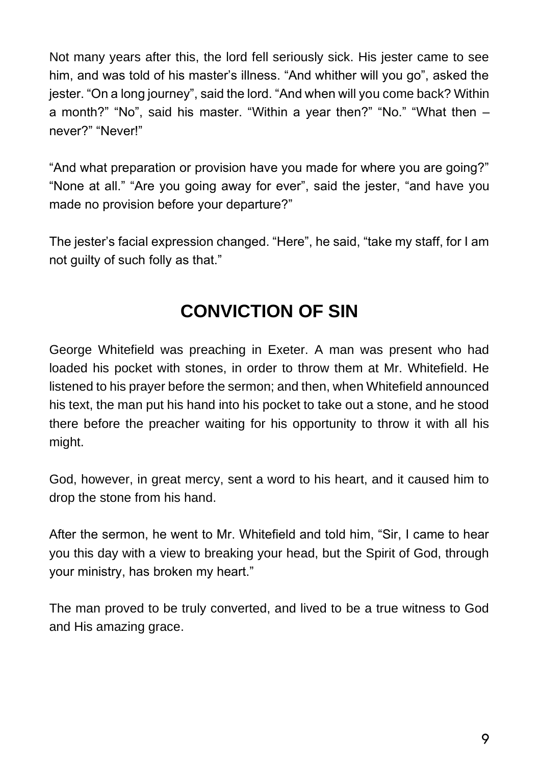Not many years after this, the lord fell seriously sick. His jester came to see him, and was told of his master's illness. "And whither will you go", asked the jester. "On a long journey", said the lord. "And when will you come back? Within a month?" "No", said his master. "Within a year then?" "No." "What then – never?" "Never!"

"And what preparation or provision have you made for where you are going?" "None at all." "Are you going away for ever", said the jester, "and have you made no provision before your departure?"

The jester's facial expression changed. "Here", he said, "take my staff, for I am not guilty of such folly as that."

#### **CONVICTION OF SIN**

George Whitefield was preaching in Exeter. A man was present who had loaded his pocket with stones, in order to throw them at Mr. Whitefield. He listened to his prayer before the sermon; and then, when Whitefield announced his text, the man put his hand into his pocket to take out a stone, and he stood there before the preacher waiting for his opportunity to throw it with all his might.

God, however, in great mercy, sent a word to his heart, and it caused him to drop the stone from his hand.

After the sermon, he went to Mr. Whitefield and told him, "Sir, I came to hear you this day with a view to breaking your head, but the Spirit of God, through your ministry, has broken my heart."

The man proved to be truly converted, and lived to be a true witness to God and His amazing grace.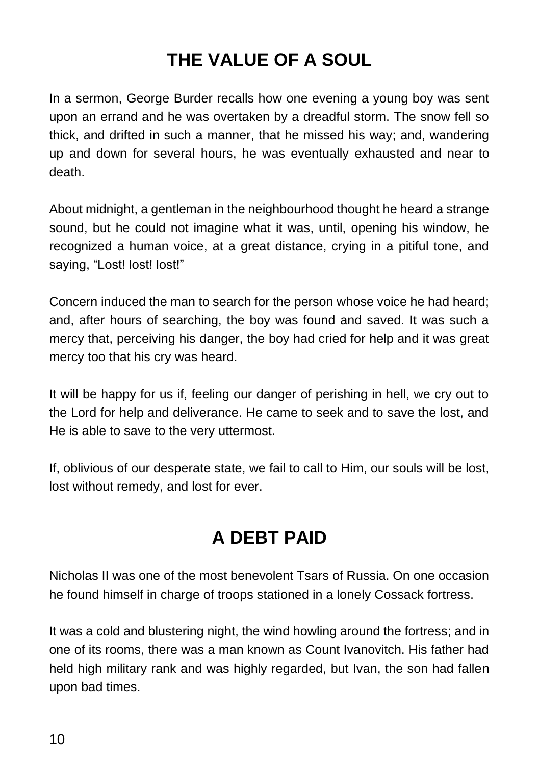## **THE VALUE OF A SOUL**

In a sermon, George Burder recalls how one evening a young boy was sent upon an errand and he was overtaken by a dreadful storm. The snow fell so thick, and drifted in such a manner, that he missed his way; and, wandering up and down for several hours, he was eventually exhausted and near to death.

About midnight, a gentleman in the neighbourhood thought he heard a strange sound, but he could not imagine what it was, until, opening his window, he recognized a human voice, at a great distance, crying in a pitiful tone, and saying, "Lost! lost! lost!"

Concern induced the man to search for the person whose voice he had heard; and, after hours of searching, the boy was found and saved. It was such a mercy that, perceiving his danger, the boy had cried for help and it was great mercy too that his cry was heard.

It will be happy for us if, feeling our danger of perishing in hell, we cry out to the Lord for help and deliverance. He came to seek and to save the lost, and He is able to save to the very uttermost.

If, oblivious of our desperate state, we fail to call to Him, our souls will be lost, lost without remedy, and lost for ever.

#### **A DEBT PAID**

Nicholas II was one of the most benevolent Tsars of Russia. On one occasion he found himself in charge of troops stationed in a lonely Cossack fortress.

It was a cold and blustering night, the wind howling around the fortress; and in one of its rooms, there was a man known as Count Ivanovitch. His father had held high military rank and was highly regarded, but Ivan, the son had fallen upon bad times.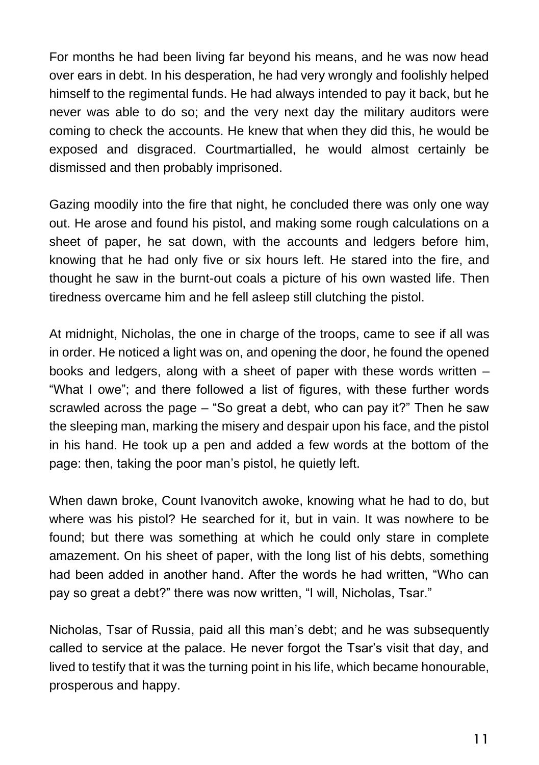For months he had been living far beyond his means, and he was now head over ears in debt. In his desperation, he had very wrongly and foolishly helped himself to the regimental funds. He had always intended to pay it back, but he never was able to do so; and the very next day the military auditors were coming to check the accounts. He knew that when they did this, he would be exposed and disgraced. Courtmartialled, he would almost certainly be dismissed and then probably imprisoned.

Gazing moodily into the fire that night, he concluded there was only one way out. He arose and found his pistol, and making some rough calculations on a sheet of paper, he sat down, with the accounts and ledgers before him, knowing that he had only five or six hours left. He stared into the fire, and thought he saw in the burnt-out coals a picture of his own wasted life. Then tiredness overcame him and he fell asleep still clutching the pistol.

At midnight, Nicholas, the one in charge of the troops, came to see if all was in order. He noticed a light was on, and opening the door, he found the opened books and ledgers, along with a sheet of paper with these words written – "What I owe"; and there followed a list of figures, with these further words scrawled across the page – "So great a debt, who can pay it?" Then he saw the sleeping man, marking the misery and despair upon his face, and the pistol in his hand. He took up a pen and added a few words at the bottom of the page: then, taking the poor man's pistol, he quietly left.

When dawn broke, Count Ivanovitch awoke, knowing what he had to do, but where was his pistol? He searched for it, but in vain. It was nowhere to be found; but there was something at which he could only stare in complete amazement. On his sheet of paper, with the long list of his debts, something had been added in another hand. After the words he had written, "Who can pay so great a debt?" there was now written, "I will, Nicholas, Tsar."

Nicholas, Tsar of Russia, paid all this man's debt; and he was subsequently called to service at the palace. He never forgot the Tsar's visit that day, and lived to testify that it was the turning point in his life, which became honourable, prosperous and happy.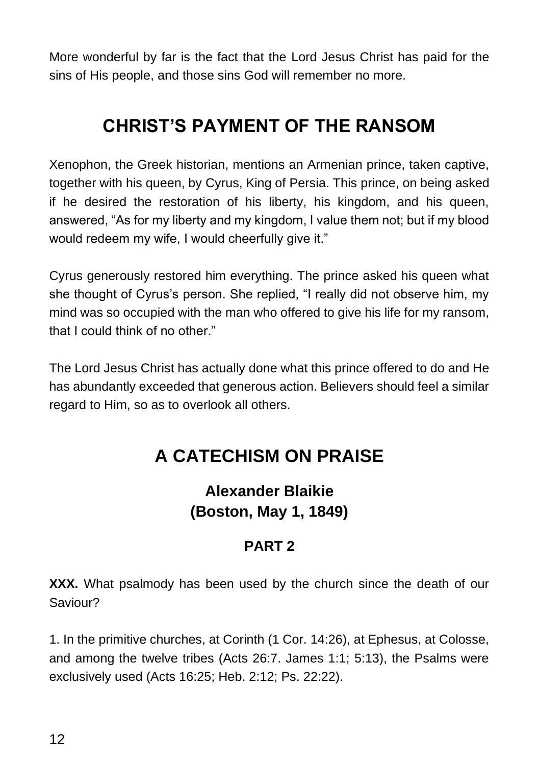More wonderful by far is the fact that the Lord Jesus Christ has paid for the sins of His people, and those sins God will remember no more.

#### **CHRIST'S PAYMENT OF THE RANSOM**

Xenophon, the Greek historian, mentions an Armenian prince, taken captive, together with his queen, by Cyrus, King of Persia. This prince, on being asked if he desired the restoration of his liberty, his kingdom, and his queen, answered, "As for my liberty and my kingdom, I value them not; but if my blood would redeem my wife, I would cheerfully give it."

Cyrus generously restored him everything. The prince asked his queen what she thought of Cyrus's person. She replied, "I really did not observe him, my mind was so occupied with the man who offered to give his life for my ransom, that I could think of no other."

The Lord Jesus Christ has actually done what this prince offered to do and He has abundantly exceeded that generous action. Believers should feel a similar regard to Him, so as to overlook all others.

#### **A CATECHISM ON PRAISE**

#### **Alexander Blaikie (Boston, May 1, 1849)**

#### **PART 2**

**XXX.** What psalmody has been used by the church since the death of our Saviour?

1. In the primitive churches, at Corinth (1 Cor. 14:26), at Ephesus, at Colosse, and among the twelve tribes (Acts 26:7. James 1:1; 5:13), the Psalms were exclusively used (Acts 16:25; Heb. 2:12; Ps. 22:22).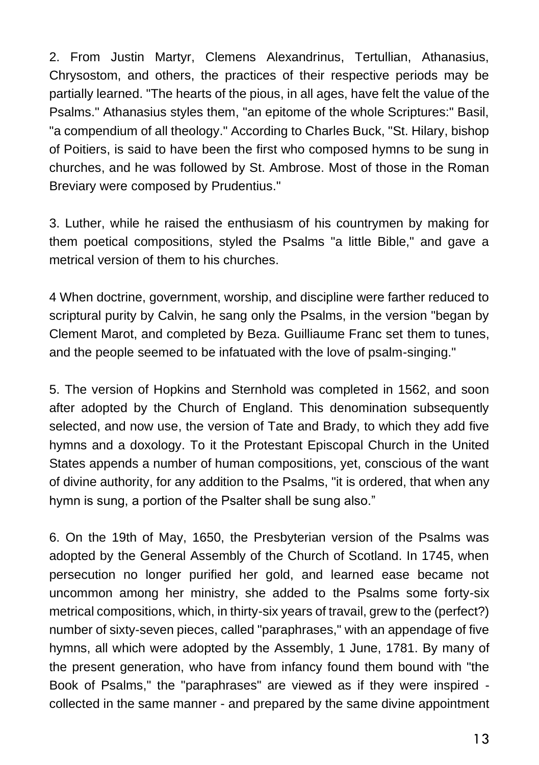2. From Justin Martyr, Clemens Alexandrinus, Tertullian, Athanasius, Chrysostom, and others, the practices of their respective periods may be partially learned. "The hearts of the pious, in all ages, have felt the value of the Psalms." Athanasius styles them, "an epitome of the whole Scriptures:" Basil, "a compendium of all theology." According to Charles Buck, "St. Hilary, bishop of Poitiers, is said to have been the first who composed hymns to be sung in churches, and he was followed by St. Ambrose. Most of those in the Roman Breviary were composed by Prudentius."

3. Luther, while he raised the enthusiasm of his countrymen by making for them poetical compositions, styled the Psalms "a little Bible," and gave a metrical version of them to his churches.

4 When doctrine, government, worship, and discipline were farther reduced to scriptural purity by Calvin, he sang only the Psalms, in the version "began by Clement Marot, and completed by Beza. Guilliaume Franc set them to tunes, and the people seemed to be infatuated with the love of psalm-singing."

5. The version of Hopkins and Sternhold was completed in 1562, and soon after adopted by the Church of England. This denomination subsequently selected, and now use, the version of Tate and Brady, to which they add five hymns and a doxology. To it the Protestant Episcopal Church in the United States appends a number of human compositions, yet, conscious of the want of divine authority, for any addition to the Psalms, "it is ordered, that when any hymn is sung, a portion of the Psalter shall be sung also."

6. On the 19th of May, 1650, the Presbyterian version of the Psalms was adopted by the General Assembly of the Church of Scotland. In 1745, when persecution no longer purified her gold, and learned ease became not uncommon among her ministry, she added to the Psalms some forty-six metrical compositions, which, in thirty-six years of travail, grew to the (perfect?) number of sixty-seven pieces, called "paraphrases," with an appendage of five hymns, all which were adopted by the Assembly, 1 June, 1781. By many of the present generation, who have from infancy found them bound with "the Book of Psalms," the "paraphrases" are viewed as if they were inspired collected in the same manner - and prepared by the same divine appointment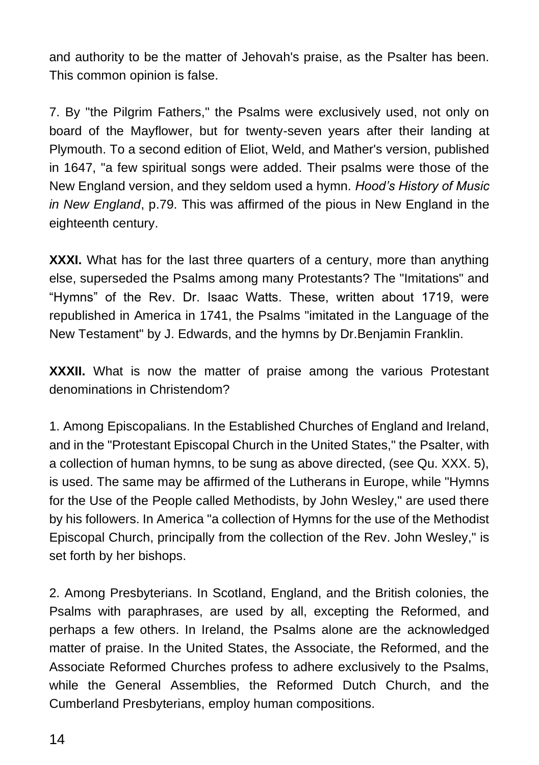and authority to be the matter of Jehovah's praise, as the Psalter has been. This common opinion is false.

7. By "the Pilgrim Fathers," the Psalms were exclusively used, not only on board of the Mayflower, but for twenty-seven years after their landing at Plymouth. To a second edition of Eliot, Weld, and Mather's version, published in 1647, "a few spiritual songs were added. Their psalms were those of the New England version, and they seldom used a hymn. *Hood's History of Music in New England*, p.79. This was affirmed of the pious in New England in the eighteenth century.

**XXXI.** What has for the last three quarters of a century, more than anything else, superseded the Psalms among many Protestants? The "Imitations" and "Hymns" of the Rev. Dr. Isaac Watts. These, written about 1719, were republished in America in 1741, the Psalms "imitated in the Language of the New Testament" by J. Edwards, and the hymns by Dr.Benjamin Franklin.

**XXXII.** What is now the matter of praise among the various Protestant denominations in Christendom?

1. Among Episcopalians. In the Established Churches of England and Ireland, and in the "Protestant Episcopal Church in the United States," the Psalter, with a collection of human hymns, to be sung as above directed, (see Qu. XXX. 5), is used. The same may be affirmed of the Lutherans in Europe, while "Hymns for the Use of the People called Methodists, by John Wesley," are used there by his followers. In America "a collection of Hymns for the use of the Methodist Episcopal Church, principally from the collection of the Rev. John Wesley," is set forth by her bishops.

2. Among Presbyterians. In Scotland, England, and the British colonies, the Psalms with paraphrases, are used by all, excepting the Reformed, and perhaps a few others. In Ireland, the Psalms alone are the acknowledged matter of praise. In the United States, the Associate, the Reformed, and the Associate Reformed Churches profess to adhere exclusively to the Psalms, while the General Assemblies, the Reformed Dutch Church, and the Cumberland Presbyterians, employ human compositions.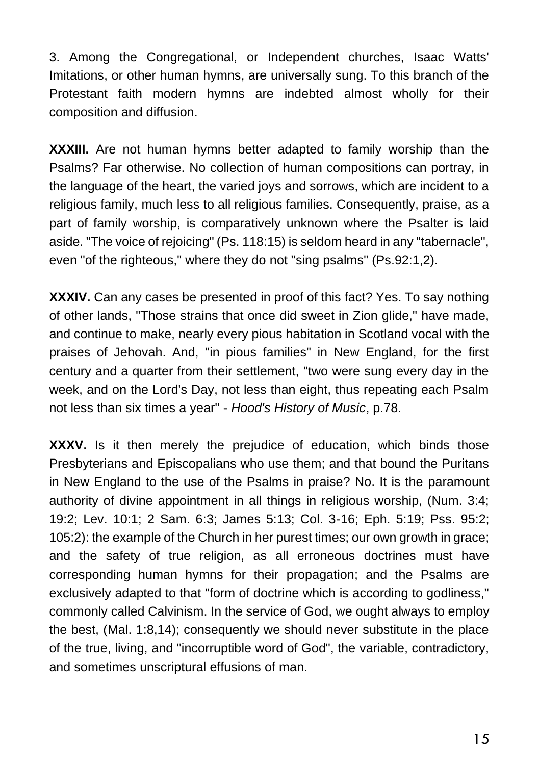3. Among the Congregational, or Independent churches, Isaac Watts' Imitations, or other human hymns, are universally sung. To this branch of the Protestant faith modern hymns are indebted almost wholly for their composition and diffusion.

**XXXIII.** Are not human hymns better adapted to family worship than the Psalms? Far otherwise. No collection of human compositions can portray, in the language of the heart, the varied joys and sorrows, which are incident to a religious family, much less to all religious families. Consequently, praise, as a part of family worship, is comparatively unknown where the Psalter is laid aside. "The voice of rejoicing" (Ps. 118:15) is seldom heard in any "tabernacle", even "of the righteous," where they do not "sing psalms" (Ps.92:1,2).

**XXXIV.** Can any cases be presented in proof of this fact? Yes. To say nothing of other lands, "Those strains that once did sweet in Zion glide," have made, and continue to make, nearly every pious habitation in Scotland vocal with the praises of Jehovah. And, "in pious families" in New England, for the first century and a quarter from their settlement, "two were sung every day in the week, and on the Lord's Day, not less than eight, thus repeating each Psalm not less than six times a year" - *Hood's History of Music*, p.78.

**XXXV.** Is it then merely the prejudice of education, which binds those Presbyterians and Episcopalians who use them; and that bound the Puritans in New England to the use of the Psalms in praise? No. It is the paramount authority of divine appointment in all things in religious worship, (Num. 3:4; 19:2; Lev. 10:1; 2 Sam. 6:3; James 5:13; Col. 3-16; Eph. 5:19; Pss. 95:2; 105:2): the example of the Church in her purest times; our own growth in grace; and the safety of true religion, as all erroneous doctrines must have corresponding human hymns for their propagation; and the Psalms are exclusively adapted to that "form of doctrine which is according to godliness," commonly called Calvinism. In the service of God, we ought always to employ the best, (Mal. 1:8,14); consequently we should never substitute in the place of the true, living, and "incorruptible word of God", the variable, contradictory, and sometimes unscriptural effusions of man.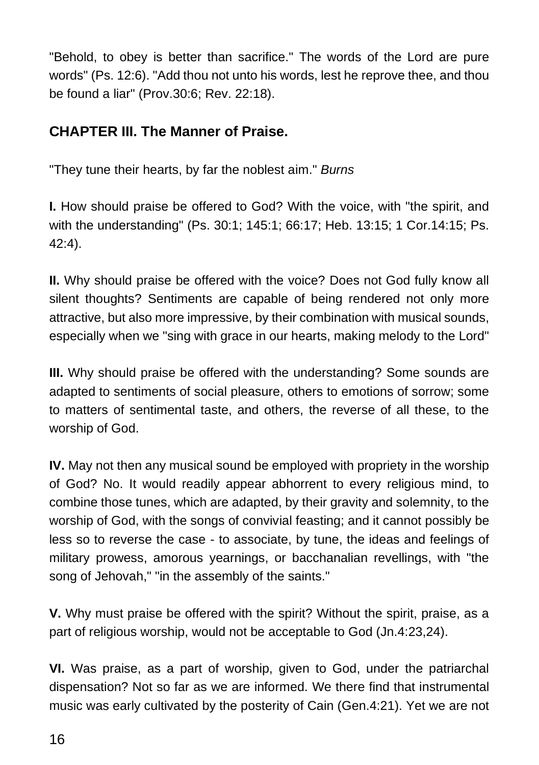"Behold, to obey is better than sacrifice." The words of the Lord are pure words" (Ps. 12:6). "Add thou not unto his words, lest he reprove thee, and thou be found a liar" (Prov.30:6; Rev. 22:18).

#### **CHAPTER III. The Manner of Praise.**

"They tune their hearts, by far the noblest aim." *Burns*

**I.** How should praise be offered to God? With the voice, with "the spirit, and with the understanding" (Ps. 30:1; 145:1; 66:17; Heb. 13:15; 1 Cor.14:15; Ps. 42:4).

**II.** Why should praise be offered with the voice? Does not God fully know all silent thoughts? Sentiments are capable of being rendered not only more attractive, but also more impressive, by their combination with musical sounds, especially when we "sing with grace in our hearts, making melody to the Lord"

**III.** Why should praise be offered with the understanding? Some sounds are adapted to sentiments of social pleasure, others to emotions of sorrow; some to matters of sentimental taste, and others, the reverse of all these, to the worship of God.

**IV.** May not then any musical sound be employed with propriety in the worship of God? No. It would readily appear abhorrent to every religious mind, to combine those tunes, which are adapted, by their gravity and solemnity, to the worship of God, with the songs of convivial feasting; and it cannot possibly be less so to reverse the case - to associate, by tune, the ideas and feelings of military prowess, amorous yearnings, or bacchanalian revellings, with "the song of Jehovah," "in the assembly of the saints."

**V.** Why must praise be offered with the spirit? Without the spirit, praise, as a part of religious worship, would not be acceptable to God (Jn.4:23,24).

**VI.** Was praise, as a part of worship, given to God, under the patriarchal dispensation? Not so far as we are informed. We there find that instrumental music was early cultivated by the posterity of Cain (Gen.4:21). Yet we are not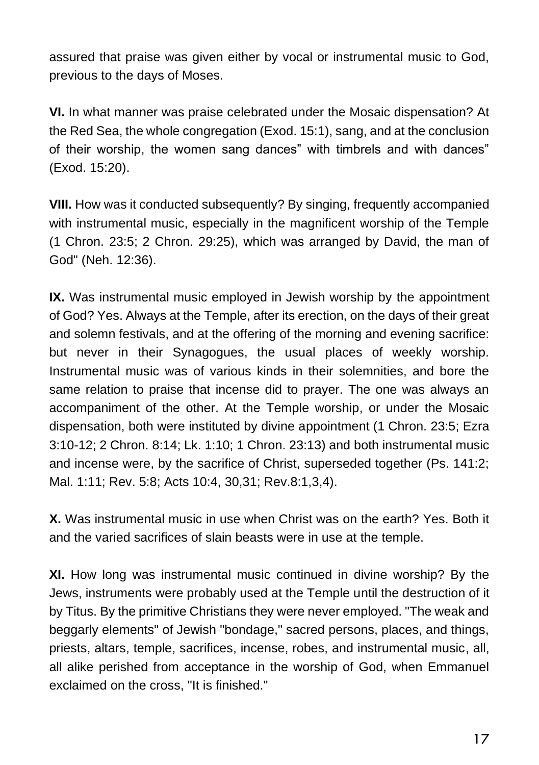assured that praise was given either by vocal or instrumental music to God, previous to the days of Moses.

**VI.** In what manner was praise celebrated under the Mosaic dispensation? At the Red Sea, the whole congregation (Exod. 15:1), sang, and at the conclusion of their worship, the women sang dances" with timbrels and with dances" (Exod. 15:20).

**VIII.** How was it conducted subsequently? By singing, frequently accompanied with instrumental music, especially in the magnificent worship of the Temple (1 Chron. 23:5; 2 Chron. 29:25), which was arranged by David, the man of God" (Neh. 12:36).

**IX.** Was instrumental music employed in Jewish worship by the appointment of God? Yes. Always at the Temple, after its erection, on the days of their great and solemn festivals, and at the offering of the morning and evening sacrifice: but never in their Synagogues, the usual places of weekly worship. Instrumental music was of various kinds in their solemnities, and bore the same relation to praise that incense did to prayer. The one was always an accompaniment of the other. At the Temple worship, or under the Mosaic dispensation, both were instituted by divine appointment (1 Chron. 23:5; Ezra 3:10-12; 2 Chron. 8:14; Lk. 1:10; 1 Chron. 23:13) and both instrumental music and incense were, by the sacrifice of Christ, superseded together (Ps. 141:2; Mal. 1:11; Rev. 5:8; Acts 10:4, 30,31; Rev.8:1,3,4).

**X.** Was instrumental music in use when Christ was on the earth? Yes. Both it and the varied sacrifices of slain beasts were in use at the temple.

**XI.** How long was instrumental music continued in divine worship? By the Jews, instruments were probably used at the Temple until the destruction of it by Titus. By the primitive Christians they were never employed. "The weak and beggarly elements" of Jewish "bondage," sacred persons, places, and things, priests, altars, temple, sacrifices, incense, robes, and instrumental music, all, all alike perished from acceptance in the worship of God, when Emmanuel exclaimed on the cross, "It is finished."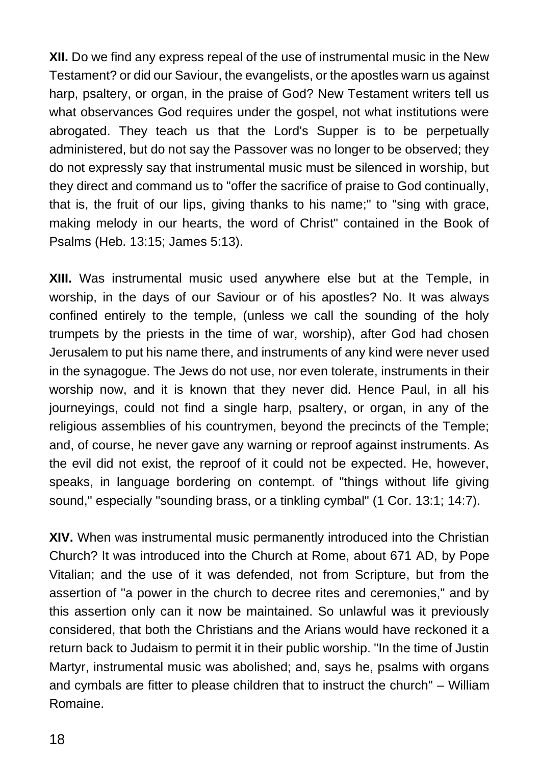**XII.** Do we find any express repeal of the use of instrumental music in the New Testament? or did our Saviour, the evangelists, or the apostles warn us against harp, psaltery, or organ, in the praise of God? New Testament writers tell us what observances God requires under the gospel, not what institutions were abrogated. They teach us that the Lord's Supper is to be perpetually administered, but do not say the Passover was no longer to be observed; they do not expressly say that instrumental music must be silenced in worship, but they direct and command us to "offer the sacrifice of praise to God continually, that is, the fruit of our lips, giving thanks to his name;" to "sing with grace, making melody in our hearts, the word of Christ" contained in the Book of Psalms (Heb. 13:15; James 5:13).

**XIII.** Was instrumental music used anywhere else but at the Temple, in worship, in the days of our Saviour or of his apostles? No. It was always confined entirely to the temple, (unless we call the sounding of the holy trumpets by the priests in the time of war, worship), after God had chosen Jerusalem to put his name there, and instruments of any kind were never used in the synagogue. The Jews do not use, nor even tolerate, instruments in their worship now, and it is known that they never did. Hence Paul, in all his journeyings, could not find a single harp, psaltery, or organ, in any of the religious assemblies of his countrymen, beyond the precincts of the Temple; and, of course, he never gave any warning or reproof against instruments. As the evil did not exist, the reproof of it could not be expected. He, however, speaks, in language bordering on contempt. of "things without life giving sound," especially "sounding brass, or a tinkling cymbal" (1 Cor. 13:1; 14:7).

**XIV.** When was instrumental music permanently introduced into the Christian Church? It was introduced into the Church at Rome, about 671 AD, by Pope Vitalian; and the use of it was defended, not from Scripture, but from the assertion of "a power in the church to decree rites and ceremonies," and by this assertion only can it now be maintained. So unlawful was it previously considered, that both the Christians and the Arians would have reckoned it a return back to Judaism to permit it in their public worship. "In the time of Justin Martyr, instrumental music was abolished; and, says he, psalms with organs and cymbals are fitter to please children that to instruct the church" – William Romaine.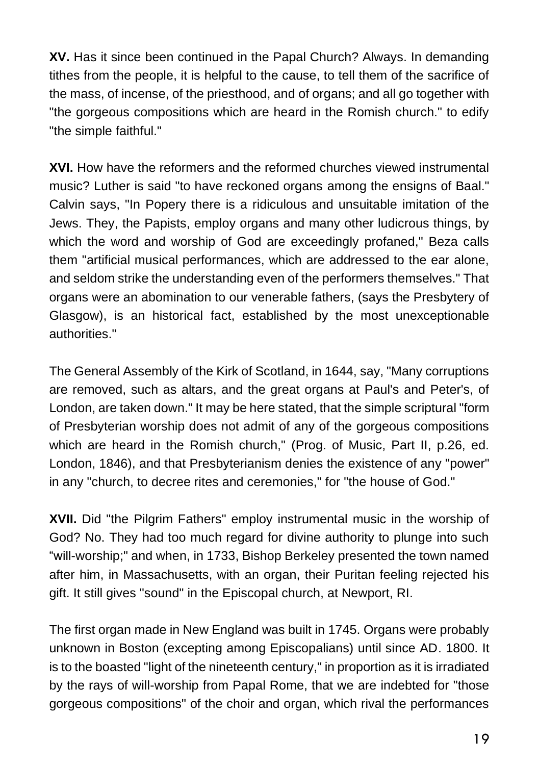**XV.** Has it since been continued in the Papal Church? Always. In demanding tithes from the people, it is helpful to the cause, to tell them of the sacrifice of the mass, of incense, of the priesthood, and of organs; and all go together with "the gorgeous compositions which are heard in the Romish church." to edify "the simple faithful."

**XVI.** How have the reformers and the reformed churches viewed instrumental music? Luther is said "to have reckoned organs among the ensigns of Baal." Calvin says, "In Popery there is a ridiculous and unsuitable imitation of the Jews. They, the Papists, employ organs and many other ludicrous things, by which the word and worship of God are exceedingly profaned," Beza calls them "artificial musical performances, which are addressed to the ear alone, and seldom strike the understanding even of the performers themselves." That organs were an abomination to our venerable fathers, (says the Presbytery of Glasgow), is an historical fact, established by the most unexceptionable authorities."

The General Assembly of the Kirk of Scotland, in 1644, say, "Many corruptions are removed, such as altars, and the great organs at Paul's and Peter's, of London, are taken down." It may be here stated, that the simple scriptural "form of Presbyterian worship does not admit of any of the gorgeous compositions which are heard in the Romish church," (Prog. of Music, Part II, p.26, ed. London, 1846), and that Presbyterianism denies the existence of any "power" in any "church, to decree rites and ceremonies," for "the house of God."

**XVII.** Did "the Pilgrim Fathers" employ instrumental music in the worship of God? No. They had too much regard for divine authority to plunge into such "will-worship;" and when, in 1733, Bishop Berkeley presented the town named after him, in Massachusetts, with an organ, their Puritan feeling rejected his gift. It still gives "sound" in the Episcopal church, at Newport, RI.

The first organ made in New England was built in 1745. Organs were probably unknown in Boston (excepting among Episcopalians) until since AD. 1800. It is to the boasted "light of the nineteenth century," in proportion as it is irradiated by the rays of will-worship from Papal Rome, that we are indebted for "those gorgeous compositions" of the choir and organ, which rival the performances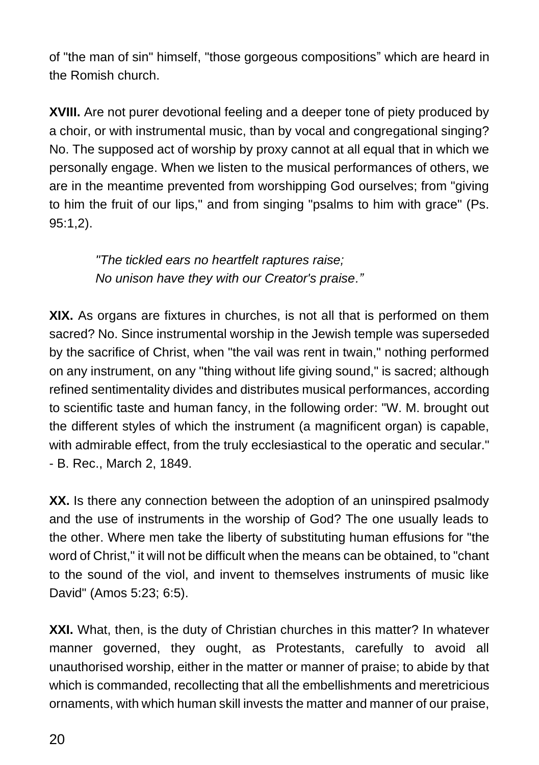of "the man of sin" himself, "those gorgeous compositions" which are heard in the Romish church.

**XVIII.** Are not purer devotional feeling and a deeper tone of piety produced by a choir, or with instrumental music, than by vocal and congregational singing? No. The supposed act of worship by proxy cannot at all equal that in which we personally engage. When we listen to the musical performances of others, we are in the meantime prevented from worshipping God ourselves; from "giving to him the fruit of our lips," and from singing "psalms to him with grace" (Ps. 95:1,2).

> *"The tickled ears no heartfelt raptures raise; No unison have they with our Creator's praise."*

**XIX.** As organs are fixtures in churches, is not all that is performed on them sacred? No. Since instrumental worship in the Jewish temple was superseded by the sacrifice of Christ, when "the vail was rent in twain," nothing performed on any instrument, on any "thing without life giving sound," is sacred; although refined sentimentality divides and distributes musical performances, according to scientific taste and human fancy, in the following order: "W. M. brought out the different styles of which the instrument (a magnificent organ) is capable, with admirable effect, from the truly ecclesiastical to the operatic and secular." - B. Rec., March 2, 1849.

**XX.** Is there any connection between the adoption of an uninspired psalmody and the use of instruments in the worship of God? The one usually leads to the other. Where men take the liberty of substituting human effusions for "the word of Christ," it will not be difficult when the means can be obtained, to "chant to the sound of the viol, and invent to themselves instruments of music like David" (Amos 5:23; 6:5).

**XXI.** What, then, is the duty of Christian churches in this matter? In whatever manner governed, they ought, as Protestants, carefully to avoid all unauthorised worship, either in the matter or manner of praise; to abide by that which is commanded, recollecting that all the embellishments and meretricious ornaments, with which human skill invests the matter and manner of our praise,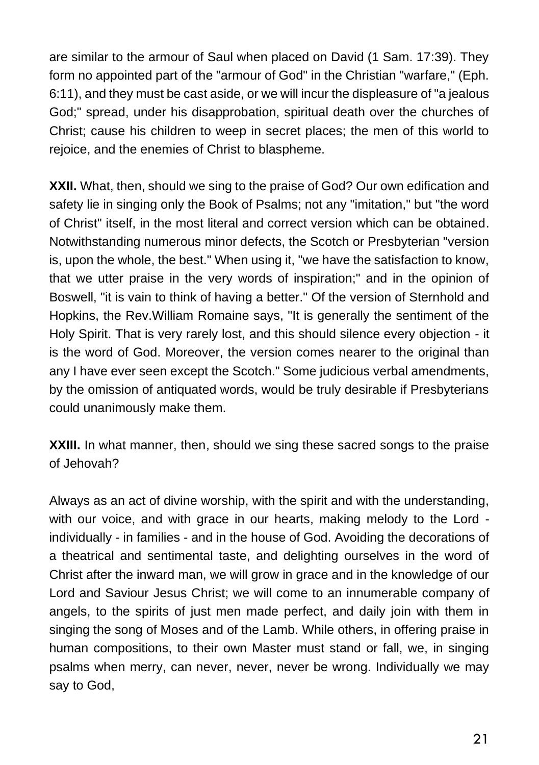are similar to the armour of Saul when placed on David (1 Sam. 17:39). They form no appointed part of the "armour of God" in the Christian "warfare," (Eph. 6:11), and they must be cast aside, or we will incur the displeasure of "a jealous God;" spread, under his disapprobation, spiritual death over the churches of Christ; cause his children to weep in secret places; the men of this world to rejoice, and the enemies of Christ to blaspheme.

**XXII.** What, then, should we sing to the praise of God? Our own edification and safety lie in singing only the Book of Psalms; not any "imitation," but "the word of Christ" itself, in the most literal and correct version which can be obtained. Notwithstanding numerous minor defects, the Scotch or Presbyterian "version is, upon the whole, the best." When using it, "we have the satisfaction to know, that we utter praise in the very words of inspiration;" and in the opinion of Boswell, "it is vain to think of having a better." Of the version of Sternhold and Hopkins, the Rev.William Romaine says, "It is generally the sentiment of the Holy Spirit. That is very rarely lost, and this should silence every objection - it is the word of God. Moreover, the version comes nearer to the original than any I have ever seen except the Scotch." Some judicious verbal amendments, by the omission of antiquated words, would be truly desirable if Presbyterians could unanimously make them.

**XXIII.** In what manner, then, should we sing these sacred songs to the praise of Jehovah?

Always as an act of divine worship, with the spirit and with the understanding, with our voice, and with grace in our hearts, making melody to the Lord individually - in families - and in the house of God. Avoiding the decorations of a theatrical and sentimental taste, and delighting ourselves in the word of Christ after the inward man, we will grow in grace and in the knowledge of our Lord and Saviour Jesus Christ; we will come to an innumerable company of angels, to the spirits of just men made perfect, and daily join with them in singing the song of Moses and of the Lamb. While others, in offering praise in human compositions, to their own Master must stand or fall, we, in singing psalms when merry, can never, never, never be wrong. Individually we may say to God,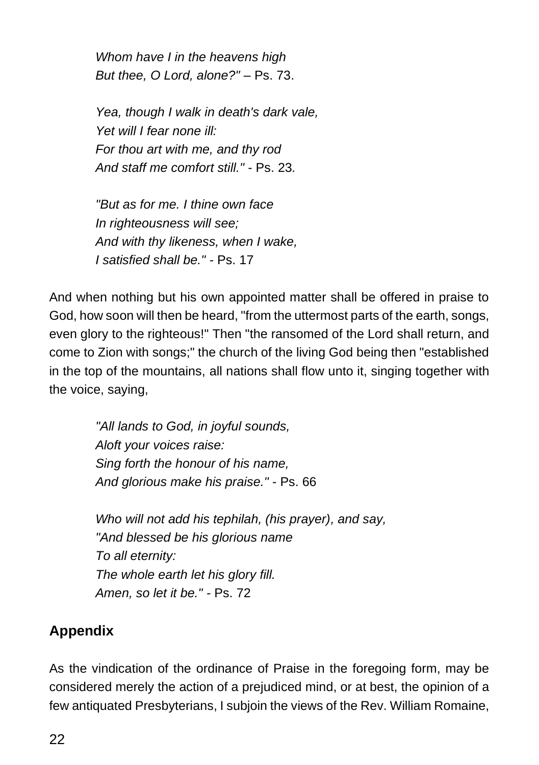*Whom have I in the heavens high But thee, O Lord, alone?"* – Ps. 73.

*Yea, though I walk in death's dark vale, Yet will I fear none ill: For thou art with me, and thy rod And staff me comfort still."* - Ps. 23*.*

*"But as for me. I thine own face In righteousness will see; And with thy likeness, when I wake, I satisfied shall be." -* Ps. 17

And when nothing but his own appointed matter shall be offered in praise to God, how soon will then be heard, "from the uttermost parts of the earth, songs, even glory to the righteous!" Then "the ransomed of the Lord shall return, and come to Zion with songs;" the church of the living God being then "established in the top of the mountains, all nations shall flow unto it, singing together with the voice, saying,

> *"All lands to God, in joyful sounds, Aloft your voices raise: Sing forth the honour of his name, And glorious make his praise."* - Ps. 66

*Who will not add his tephilah, (his prayer), and say, "And blessed be his glorious name To all eternity: The whole earth let his glory fill. Amen, so let it be." -* Ps. 72

#### **Appendix**

As the vindication of the ordinance of Praise in the foregoing form, may be considered merely the action of a prejudiced mind, or at best, the opinion of a few antiquated Presbyterians, I subjoin the views of the Rev. William Romaine,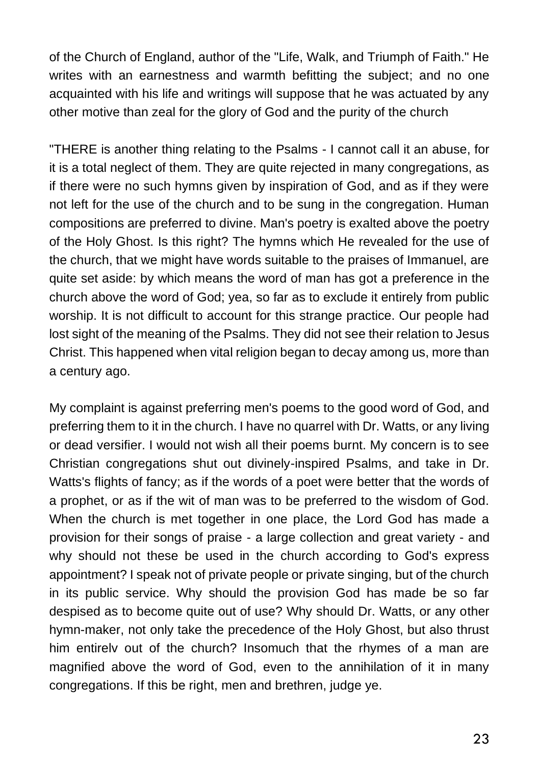of the Church of England, author of the "Life, Walk, and Triumph of Faith." He writes with an earnestness and warmth befitting the subject; and no one acquainted with his life and writings will suppose that he was actuated by any other motive than zeal for the glory of God and the purity of the church

"THERE is another thing relating to the Psalms - I cannot call it an abuse, for it is a total neglect of them. They are quite rejected in many congregations, as if there were no such hymns given by inspiration of God, and as if they were not left for the use of the church and to be sung in the congregation. Human compositions are preferred to divine. Man's poetry is exalted above the poetry of the Holy Ghost. Is this right? The hymns which He revealed for the use of the church, that we might have words suitable to the praises of Immanuel, are quite set aside: by which means the word of man has got a preference in the church above the word of God; yea, so far as to exclude it entirely from public worship. It is not difficult to account for this strange practice. Our people had lost sight of the meaning of the Psalms. They did not see their relation to Jesus Christ. This happened when vital religion began to decay among us, more than a century ago.

My complaint is against preferring men's poems to the good word of God, and preferring them to it in the church. I have no quarrel with Dr. Watts, or any living or dead versifier. I would not wish all their poems burnt. My concern is to see Christian congregations shut out divinely-inspired Psalms, and take in Dr. Watts's flights of fancy; as if the words of a poet were better that the words of a prophet, or as if the wit of man was to be preferred to the wisdom of God. When the church is met together in one place, the Lord God has made a provision for their songs of praise - a large collection and great variety - and why should not these be used in the church according to God's express appointment? I speak not of private people or private singing, but of the church in its public service. Why should the provision God has made be so far despised as to become quite out of use? Why should Dr. Watts, or any other hymn-maker, not only take the precedence of the Holy Ghost, but also thrust him entirelv out of the church? Insomuch that the rhymes of a man are magnified above the word of God, even to the annihilation of it in many congregations. If this be right, men and brethren, judge ye.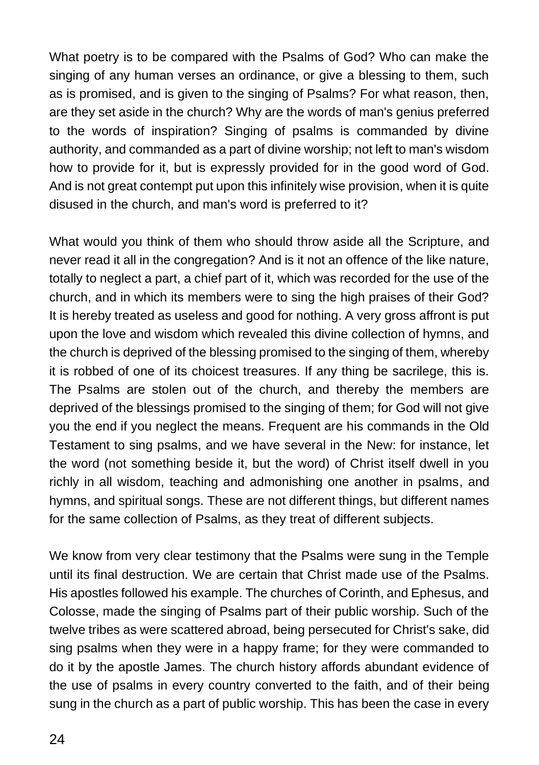What poetry is to be compared with the Psalms of God? Who can make the singing of any human verses an ordinance, or give a blessing to them, such as is promised, and is given to the singing of Psalms? For what reason, then, are they set aside in the church? Why are the words of man's genius preferred to the words of inspiration? Singing of psalms is commanded by divine authority, and commanded as a part of divine worship; not left to man's wisdom how to provide for it, but is expressly provided for in the good word of God. And is not great contempt put upon this infinitely wise provision, when it is quite disused in the church, and man's word is preferred to it?

What would you think of them who should throw aside all the Scripture, and never read it all in the congregation? And is it not an offence of the like nature, totally to neglect a part, a chief part of it, which was recorded for the use of the church, and in which its members were to sing the high praises of their God? It is hereby treated as useless and good for nothing. A very gross affront is put upon the love and wisdom which revealed this divine collection of hymns, and the church is deprived of the blessing promised to the singing of them, whereby it is robbed of one of its choicest treasures. If any thing be sacrilege, this is. The Psalms are stolen out of the church, and thereby the members are deprived of the blessings promised to the singing of them; for God will not give you the end if you neglect the means. Frequent are his commands in the Old Testament to sing psalms, and we have several in the New: for instance, let the word (not something beside it, but the word) of Christ itself dwell in you richly in all wisdom, teaching and admonishing one another in psalms, and hymns, and spiritual songs. These are not different things, but different names for the same collection of Psalms, as they treat of different subjects.

We know from very clear testimony that the Psalms were sung in the Temple until its final destruction. We are certain that Christ made use of the Psalms. His apostles followed his example. The churches of Corinth, and Ephesus, and Colosse, made the singing of Psalms part of their public worship. Such of the twelve tribes as were scattered abroad, being persecuted for Christ's sake, did sing psalms when they were in a happy frame; for they were commanded to do it by the apostle James. The church history affords abundant evidence of the use of psalms in every country converted to the faith, and of their being sung in the church as a part of public worship. This has been the case in every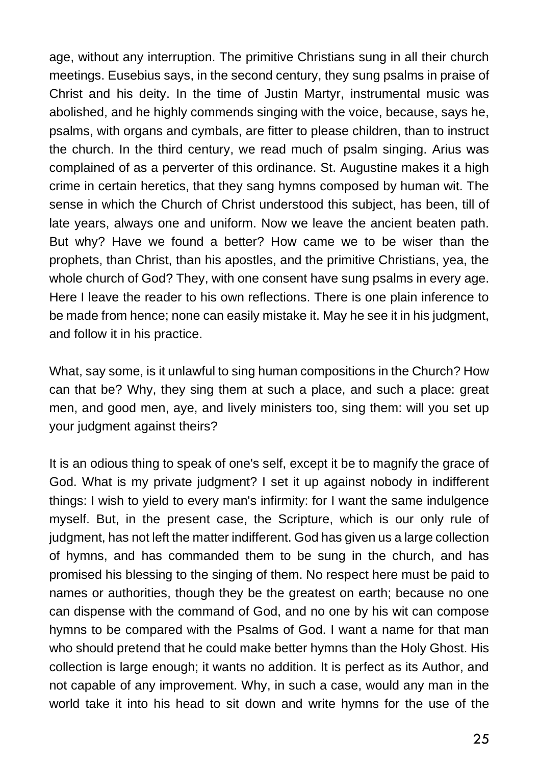age, without any interruption. The primitive Christians sung in all their church meetings. Eusebius says, in the second century, they sung psalms in praise of Christ and his deity. In the time of Justin Martyr, instrumental music was abolished, and he highly commends singing with the voice, because, says he, psalms, with organs and cymbals, are fitter to please children, than to instruct the church. In the third century, we read much of psalm singing. Arius was complained of as a perverter of this ordinance. St. Augustine makes it a high crime in certain heretics, that they sang hymns composed by human wit. The sense in which the Church of Christ understood this subject, has been, till of late years, always one and uniform. Now we leave the ancient beaten path. But why? Have we found a better? How came we to be wiser than the prophets, than Christ, than his apostles, and the primitive Christians, yea, the whole church of God? They, with one consent have sung psalms in every age. Here I leave the reader to his own reflections. There is one plain inference to be made from hence; none can easily mistake it. May he see it in his judgment, and follow it in his practice.

What, say some, is it unlawful to sing human compositions in the Church? How can that be? Why, they sing them at such a place, and such a place: great men, and good men, aye, and lively ministers too, sing them: will you set up your judgment against theirs?

It is an odious thing to speak of one's self, except it be to magnify the grace of God. What is my private judgment? I set it up against nobody in indifferent things: I wish to yield to every man's infirmity: for I want the same indulgence myself. But, in the present case, the Scripture, which is our only rule of judgment, has not left the matter indifferent. God has given us a large collection of hymns, and has commanded them to be sung in the church, and has promised his blessing to the singing of them. No respect here must be paid to names or authorities, though they be the greatest on earth; because no one can dispense with the command of God, and no one by his wit can compose hymns to be compared with the Psalms of God. I want a name for that man who should pretend that he could make better hymns than the Holy Ghost. His collection is large enough; it wants no addition. It is perfect as its Author, and not capable of any improvement. Why, in such a case, would any man in the world take it into his head to sit down and write hymns for the use of the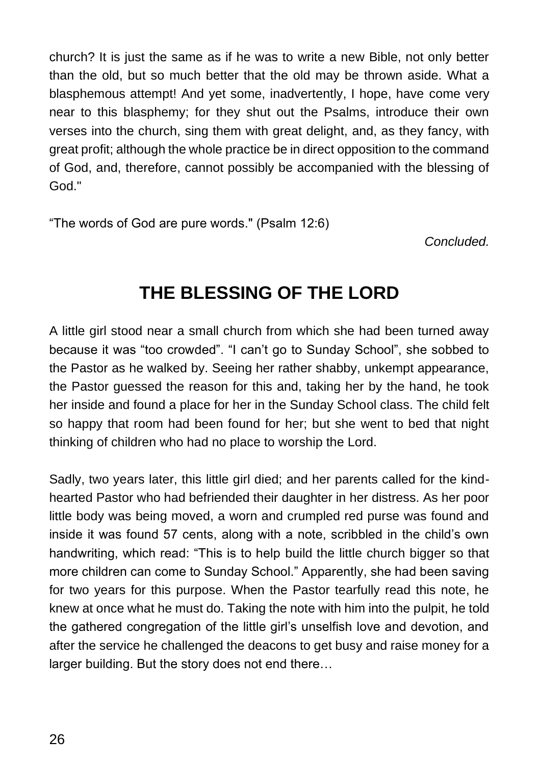church? It is just the same as if he was to write a new Bible, not only better than the old, but so much better that the old may be thrown aside. What a blasphemous attempt! And yet some, inadvertently, I hope, have come very near to this blasphemy; for they shut out the Psalms, introduce their own verses into the church, sing them with great delight, and, as they fancy, with great profit; although the whole practice be in direct opposition to the command of God, and, therefore, cannot possibly be accompanied with the blessing of God."

"The words of God are pure words." (Psalm 12:6)

*Concluded.*

### **THE BLESSING OF THE LORD**

A little girl stood near a small church from which she had been turned away because it was "too crowded". "I can't go to Sunday School", she sobbed to the Pastor as he walked by. Seeing her rather shabby, unkempt appearance, the Pastor guessed the reason for this and, taking her by the hand, he took her inside and found a place for her in the Sunday School class. The child felt so happy that room had been found for her; but she went to bed that night thinking of children who had no place to worship the Lord.

Sadly, two years later, this little girl died; and her parents called for the kindhearted Pastor who had befriended their daughter in her distress. As her poor little body was being moved, a worn and crumpled red purse was found and inside it was found 57 cents, along with a note, scribbled in the child's own handwriting, which read: "This is to help build the little church bigger so that more children can come to Sunday School." Apparently, she had been saving for two years for this purpose. When the Pastor tearfully read this note, he knew at once what he must do. Taking the note with him into the pulpit, he told the gathered congregation of the little girl's unselfish love and devotion, and after the service he challenged the deacons to get busy and raise money for a larger building. But the story does not end there…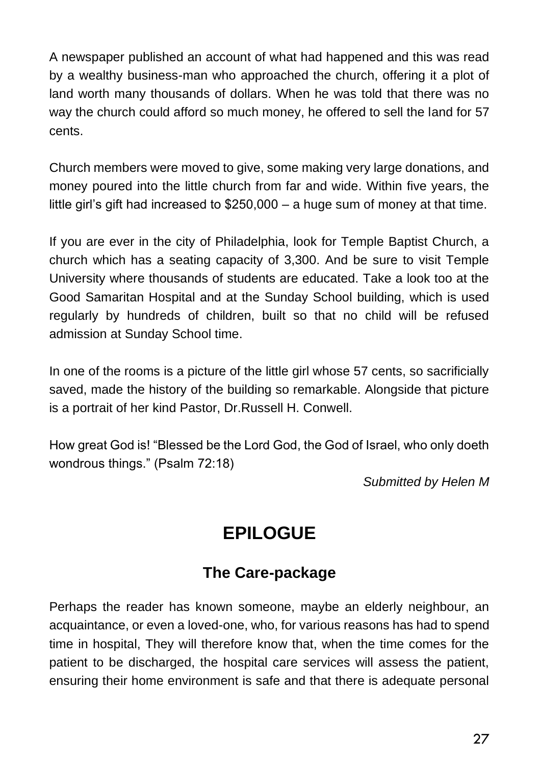A newspaper published an account of what had happened and this was read by a wealthy business-man who approached the church, offering it a plot of land worth many thousands of dollars. When he was told that there was no way the church could afford so much money, he offered to sell the land for 57 cents.

Church members were moved to give, some making very large donations, and money poured into the little church from far and wide. Within five years, the little girl's gift had increased to \$250,000 – a huge sum of money at that time.

If you are ever in the city of Philadelphia, look for Temple Baptist Church, a church which has a seating capacity of 3,300. And be sure to visit Temple University where thousands of students are educated. Take a look too at the Good Samaritan Hospital and at the Sunday School building, which is used regularly by hundreds of children, built so that no child will be refused admission at Sunday School time.

In one of the rooms is a picture of the little girl whose 57 cents, so sacrificially saved, made the history of the building so remarkable. Alongside that picture is a portrait of her kind Pastor, Dr.Russell H. Conwell.

How great God is! "Blessed be the Lord God, the God of Israel, who only doeth wondrous things." (Psalm 72:18)

*Submitted by Helen M*

#### **EPILOGUE**

#### **The Care-package**

Perhaps the reader has known someone, maybe an elderly neighbour, an acquaintance, or even a loved-one, who, for various reasons has had to spend time in hospital, They will therefore know that, when the time comes for the patient to be discharged, the hospital care services will assess the patient, ensuring their home environment is safe and that there is adequate personal